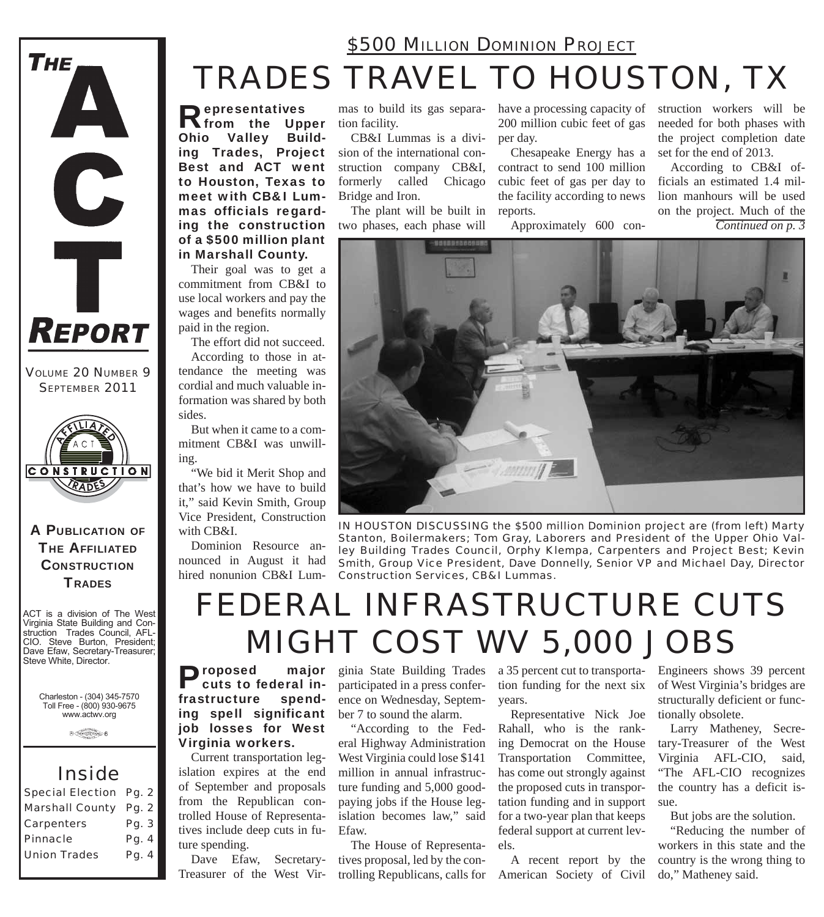

*VOLUME 20 NUMBER 9 SEPTEMBER 2011*



A PUBLICATION OF **THE AFFILIATED CONSTRUCTION TRADES** 

ACT is a division of The West Virginia State Building and Construction Trades Council, AFL-CIO. Steve Burton, President; Dave Efaw, Secretary-Treasurer; Steve White, Director.

> Charleston - (304) 345-7570 Toll Free - (800) 930-9675 www.actwv.org

> > $\theta$  (restrictions)  $6$

## *Inside*

| <b>Special Election Pg. 2</b> |
|-------------------------------|
| <b>Marshall County Pg. 2</b>  |
| Pg. 3                         |
| Pg. 4                         |
| Pg. 4                         |
|                               |

## *TRADES TRAVEL TO HOUSTON, TX \$500 MILLION DOMINION PROJECT*

Representatives from the Upper Ohio Valley Building Trades, Project Best and ACT went to Houston, Texas to meet with CB&I Lummas officials regarding the construction of a \$500 million plant in Marshall County.

Their goal was to get a commitment from CB&I to use local workers and pay the wages and benefits normally paid in the region.

The effort did not succeed. According to those in attendance the meeting was cordial and much valuable information was shared by both sides.

But when it came to a commitment CB&I was unwilling.

"We bid it Merit Shop and that's how we have to build it," said Kevin Smith, Group Vice President, Construction with CB&I.

Dominion Resource announced in August it had hired nonunion CB&I Lum-

mas to build its gas separation facility.

CB&I Lummas is a division of the international construction company CB&I, formerly called Chicago Bridge and Iron.

The plant will be built in two phases, each phase will

have a processing capacity of 200 million cubic feet of gas per day.

Chesapeake Energy has a contract to send 100 million cubic feet of gas per day to the facility according to news reports.

Approximately 600 con-

struction workers will be needed for both phases with the project completion date set for the end of 2013.

According to CB&I officials an estimated 1.4 million manhours will be used on the project. Much of the

*Continued on p. 3*



*IN HOUSTON DISCUSSING the \$500 million Dominion project are (from left) Marty Stanton, Boilermakers; Tom Gray, Laborers and President of the Upper Ohio Valley Building Trades Council, Orphy Klempa, Carpenters and Project Best; Kevin Smith, Group Vice President, Dave Donnelly, Senior VP and Michael Day, Director Construction Services, CB&I Lummas.*

# *FEDERAL INFRASTRUCTURE CUTS MIGHT COST WV 5,000 JOBS*

Proposed major cuts to federal infrastructure spending spell significant job losses for West Virginia workers.

Current transportation legislation expires at the end of September and proposals from the Republican controlled House of Representatives include deep cuts in future spending.

Dave Efaw, Secretary-Treasurer of the West Vir-

ginia State Building Trades a 35 percent cut to transportaparticipated in a press conference on Wednesday, September 7 to sound the alarm.

"According to the Federal Highway Administration West Virginia could lose \$141 million in annual infrastructure funding and 5,000 goodpaying jobs if the House legislation becomes law," said Efaw.

The House of Representatives proposal, led by the controlling Republicans, calls for tion funding for the next six years.

Representative Nick Joe Rahall, who is the ranking Democrat on the House Transportation Committee, has come out strongly against the proposed cuts in transportation funding and in support for a two-year plan that keeps federal support at current levels.

A recent report by the American Society of Civil Engineers shows 39 percent of West Virginia's bridges are structurally deficient or functionally obsolete.

Larry Matheney, Secretary-Treasurer of the West Virginia AFL-CIO, said, "The AFL-CIO recognizes the country has a deficit issue.

But jobs are the solution.

"Reducing the number of workers in this state and the country is the wrong thing to do," Matheney said.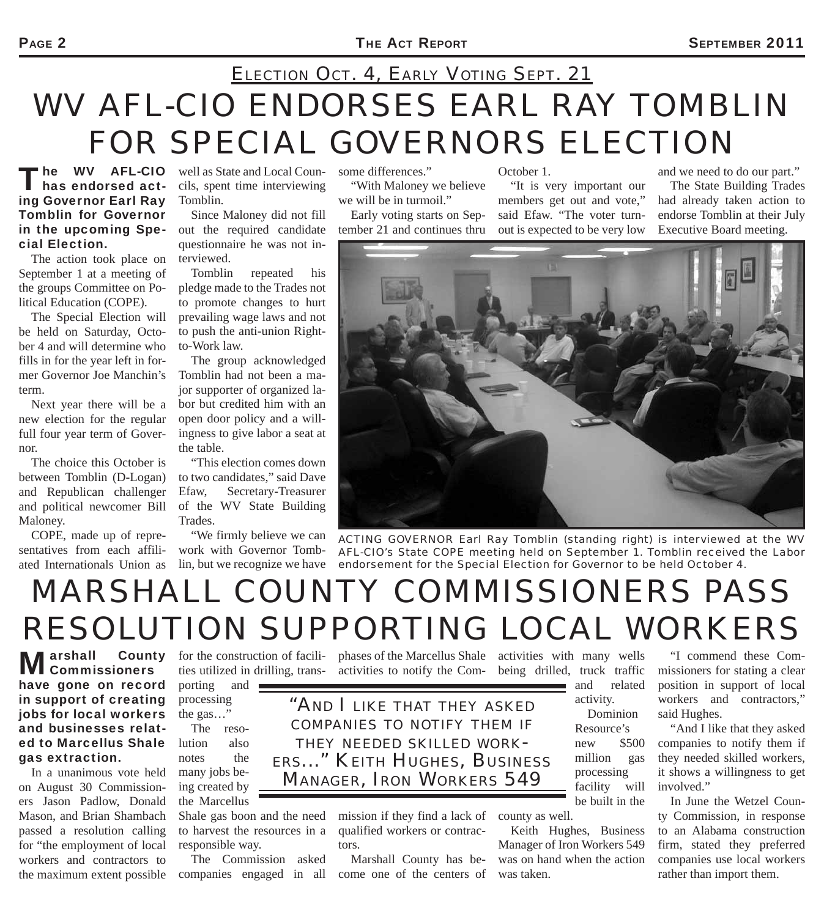# *WV AFL-CIO ENDORSES EARL RAY TOMBLIN FOR SPECIAL GOVERNORS ELECTION ELECTION OCT. 4, EARLY VOTING SEPT. 21*

The WV AFL-CIO<br>
has endorsed acting Governor Earl Ray Tomblin for Governor in the upcoming Special Election.

The action took place on September 1 at a meeting of the groups Committee on Political Education (COPE).

The Special Election will be held on Saturday, October 4 and will determine who fills in for the year left in former Governor Joe Manchin's term.

Next year there will be a new election for the regular full four year term of Governor.

The choice this October is between Tomblin (D-Logan) and Republican challenger and political newcomer Bill Maloney.

COPE, made up of representatives from each affiliated Internationals Union as

**The WV AFL-CIO** well as State and Local Councils, spent time interviewing Tomblin.

> Since Maloney did not fill out the required candidate questionnaire he was not interviewed.

> Tomblin repeated his pledge made to the Trades not to promote changes to hurt prevailing wage laws and not to push the anti-union Rightto-Work law.

The group acknowledged Tomblin had not been a major supporter of organized labor but credited him with an open door policy and a willingness to give labor a seat at the table.

"This election comes down to two candidates," said Dave Efaw, Secretary-Treasurer of the WV State Building Trades.

"We firmly believe we can work with Governor Tombsome differences."

"With Maloney we believe we will be in turmoil."

Early voting starts on September 21 and continues thru

October 1.

"It is very important our members get out and vote," said Efaw. "The voter turnout is expected to be very low and we need to do our part."

The State Building Trades had already taken action to endorse Tomblin at their July Executive Board meeting.



lin, but we recognize we have endorsement for the Special Election for Governor to be held October 4. *ACTING GOVERNOR Earl Ray Tomblin (standing right) is interviewed at the WV AFL-CIO's State COPE meeting held on September 1. Tomblin received the Labor* 

# *MARSHALL COUNTY COMMISSIONERS PASS RESOLUTION SUPPORTING LOCAL WORKERS*<br>Marshall County for the construction of facili-phases of the Marcellus Shale activities with many wells "I commend these Com-

Marshall County<br>
Commissioners have gone on record in support of creating jobs for local workers and businesses related to Marcellus Shale gas extraction.

In a unanimous vote held on August 30 Commissioners Jason Padlow, Donald Mason, and Brian Shambach passed a resolution calling for "the employment of local workers and contractors to the maximum extent possible porting and

processing the gas…"

The resolution also notes the many jobs being created by the Marcellus

Shale gas boon and the need to harvest the resources in a responsible way.

The Commission asked companies engaged in all

for the construction of facili- phases of the Marcellus Shale activities with many wells ties utilized in drilling, trans-activities to notify the Com-being drilled, truck traffic

> *"AND I LIKE THAT THEY ASKED COMPANIES TO NOTIFY THEM IF THEY NEEDED SKILLED WORK-***MANAGER, IRON WORKERS 549**

> > mission if they find a lack of county as well. qualified workers or contractors.

Marshall County has become one of the centers of and related

activity. Dominion

Resource's new \$500 million gas processing facility will be built in the

Keith Hughes, Business Manager of Iron Workers 549 was on hand when the action was taken.

"I commend these Commissioners for stating a clear position in support of local workers and contractors," said Hughes.

"And I like that they asked companies to notify them if they needed skilled workers, it shows a willingness to get involved."

In June the Wetzel County Commission, in response to an Alabama construction firm, stated they preferred companies use local workers rather than import them.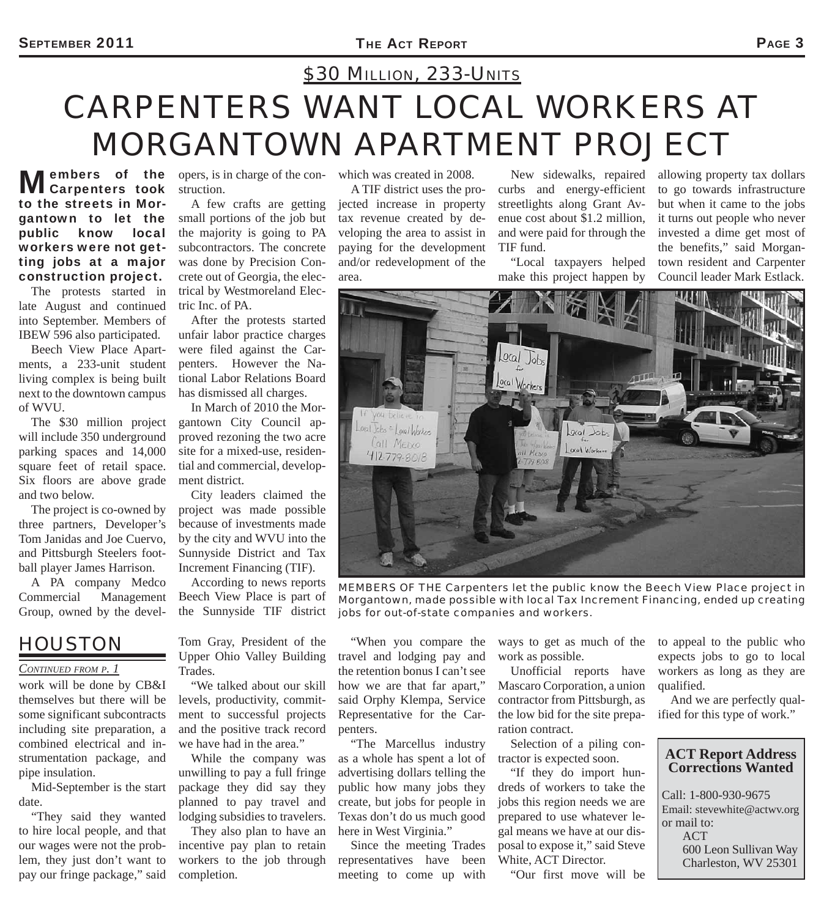# *CARPENTERS WANT LOCAL WORKERS AT MORGANTOWN APARTMENT PROJECT \$30 MILLION, 233-UNITS*

**Members of the Mcarpenters took** to the streets in Morgantown to let the public know local workers were not getting jobs at a major construction project.

The protests started in late August and continued into September. Members of IBEW 596 also participated.

Beech View Place Apartments, a 233-unit student living complex is being built next to the downtown campus of WVU.

The \$30 million project will include 350 underground parking spaces and 14,000 square feet of retail space. Six floors are above grade and two below.

The project is co-owned by three partners, Developer's Tom Janidas and Joe Cuervo, and Pittsburgh Steelers football player James Harrison.

A PA company Medco Commercial Management Group, owned by the devel-

## *HOUSTON*

#### *CONTINUED FROM P. 1*

work will be done by CB&I themselves but there will be some significant subcontracts including site preparation, a combined electrical and instrumentation package, and pipe insulation.

Mid-September is the start date.

"They said they wanted to hire local people, and that our wages were not the problem, they just don't want to pay our fringe package," said

opers, is in charge of the construction.

A few crafts are getting small portions of the job but the majority is going to PA subcontractors. The concrete was done by Precision Concrete out of Georgia, the electrical by Westmoreland Electric Inc. of PA.

After the protests started unfair labor practice charges were filed against the Carpenters. However the National Labor Relations Board has dismissed all charges.

In March of 2010 the Morgantown City Council approved rezoning the two acre site for a mixed-use, residential and commercial, development district.

City leaders claimed the project was made possible because of investments made by the city and WVU into the Sunnyside District and Tax Increment Financing (TIF).

According to news reports Beech View Place is part of the Sunnyside TIF district

Tom Gray, President of the Upper Ohio Valley Building Trades.

"We talked about our skill levels, productivity, commitment to successful projects and the positive track record we have had in the area."

While the company was unwilling to pay a full fringe package they did say they planned to pay travel and lodging subsidies to travelers.

They also plan to have an incentive pay plan to retain workers to the job through completion.

which was created in 2008.

A TIF district uses the projected increase in property tax revenue created by developing the area to assist in paying for the development and/or redevelopment of the area.

New sidewalks, repaired curbs and energy-efficient streetlights along Grant Avenue cost about \$1.2 million, and were paid for through the TIF fund.

"Local taxpayers helped make this project happen by

allowing property tax dollars to go towards infrastructure but when it came to the jobs it turns out people who never invested a dime get most of the benefits," said Morgantown resident and Carpenter Council leader Mark Estlack.



*MEMBERS OF THE Carpenters let the public know the Beech View Place project in Morgantown, made possible with local Tax Increment Financing, ended up creating jobs for out-of-state companies and workers.*

"When you compare the travel and lodging pay and the retention bonus I can't see how we are that far apart," said Orphy Klempa, Service Representative for the Carpenters.

"The Marcellus industry as a whole has spent a lot of advertising dollars telling the public how many jobs they create, but jobs for people in Texas don't do us much good here in West Virginia."

Since the meeting Trades representatives have been meeting to come up with

ways to get as much of the work as possible.

Unofficial reports have Mascaro Corporation, a union contractor from Pittsburgh, as the low bid for the site preparation contract.

Selection of a piling contractor is expected soon.

"If they do import hundreds of workers to take the jobs this region needs we are prepared to use whatever legal means we have at our disposal to expose it," said Steve White, ACT Director.

"Our first move will be

to appeal to the public who expects jobs to go to local workers as long as they are qualified.

And we are perfectly qualified for this type of work."

#### **ACT Report Address Corrections Wanted**

Call: 1-800-930-9675 Email: stevewhite@actwv.org or mail to: ACT 600 Leon Sullivan Way Charleston, WV 25301